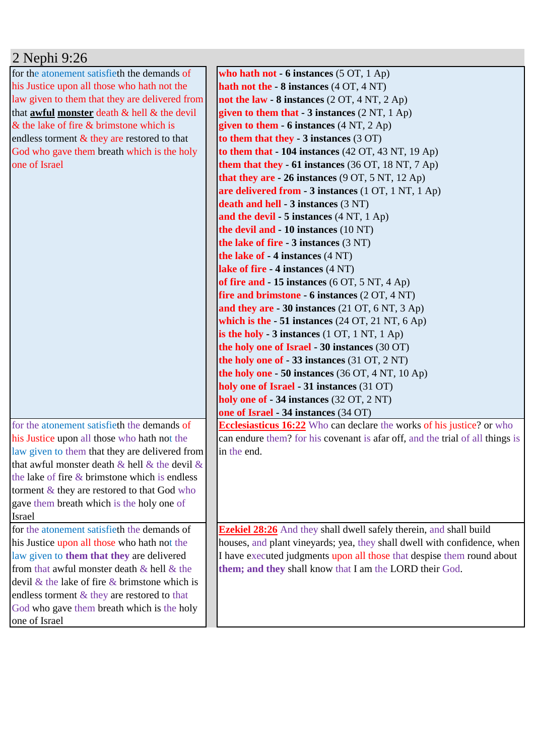| 2 Nephi 9:26                                           |                                                                               |
|--------------------------------------------------------|-------------------------------------------------------------------------------|
| for the atonement satisfieth the demands of            | who hath not - 6 instances $(5 OT, 1 Ap)$                                     |
| his Justice upon all those who hath not the            | hath not the $-8$ instances $(4 OT, 4 NT)$                                    |
| law given to them that they are delivered from         | not the law - $8$ instances $(2 OT, 4 NT, 2 Ap)$                              |
| that <b>awful monster</b> death & hell & the devil     | given to them that - 3 instances (2 NT, 1 Ap)                                 |
| $\&$ the lake of fire $\&$ brimstone which is          | given to them $-6$ instances $(4 \text{ NT}, 2 \text{ Ap})$                   |
| endless torment $\&$ they are restored to that         | to them that they $-3$ instances $(3 OT)$                                     |
| God who gave them breath which is the holy             | to them that $-104$ instances (42 OT, 43 NT, 19 Ap)                           |
| one of Israel                                          | them that they - 61 instances (36 OT, 18 NT, 7 Ap)                            |
|                                                        | that they are $-26$ instances (9 OT, 5 NT, 12 Ap)                             |
|                                                        | are delivered from - 3 instances (1 OT, 1 NT, 1 Ap)                           |
|                                                        | death and hell - 3 instances (3 NT)                                           |
|                                                        | and the devil - 5 instances (4 NT, 1 Ap)                                      |
|                                                        | the devil and - 10 instances (10 NT)                                          |
|                                                        | the lake of fire $-3$ instances $(3 \text{ NT})$                              |
|                                                        | the lake of - 4 instances (4 NT)                                              |
|                                                        | lake of fire - 4 instances (4 NT)                                             |
|                                                        | of fire and $-15$ instances (6 OT, 5 NT, 4 Ap)                                |
|                                                        | fire and brimstone - $6$ instances $(2 OT, 4 NT)$                             |
|                                                        | and they are $-30$ instances (21 OT, 6 NT, 3 Ap)                              |
|                                                        | which is the $-51$ instances (24 OT, 21 NT, 6 Ap)                             |
|                                                        | is the holy $-3$ instances $(1 OT, 1 NT, 1 Ap)$                               |
|                                                        | the holy one of Israel - 30 instances (30 OT)                                 |
|                                                        | the holy one of $-33$ instances (31 OT, 2 NT)                                 |
|                                                        | the holy one $-50$ instances (36 OT, 4 NT, 10 Ap)                             |
|                                                        | holy one of Israel - 31 instances (31 OT)                                     |
|                                                        | holy one of - 34 instances (32 OT, 2 NT)                                      |
|                                                        | one of Israel - 34 instances (34 OT)                                          |
| for the atonement satisfieth the demands of            | <b>Ecclesiasticus 16:22</b> Who can declare the works of his justice? or who  |
| his Justice upon all those who hath not the            | can endure them? for his covenant is afar off, and the trial of all things is |
| law given to them that they are delivered from         | in the end.                                                                   |
| that awful monster death $\&$ hell $\&$ the devil $\&$ |                                                                               |
| the lake of fire $\&$ brimstone which is endless       |                                                                               |
| torment & they are restored to that God who            |                                                                               |
| gave them breath which is the holy one of              |                                                                               |
| <b>Israel</b>                                          |                                                                               |
| for the atonement satisfieth the demands of            | <b>Ezekiel 28:26</b> And they shall dwell safely therein, and shall build     |
| his Justice upon all those who hath not the            | houses, and plant vineyards; yea, they shall dwell with confidence, when      |
| law given to them that they are delivered              | I have executed judgments upon all those that despise them round about        |
| from that awful monster death & hell & the             | them; and they shall know that I am the LORD their God.                       |
| devil $\&$ the lake of fire $\&$ brimstone which is    |                                                                               |
| endless torment & they are restored to that            |                                                                               |
| God who gave them breath which is the holy             |                                                                               |
| one of Israel                                          |                                                                               |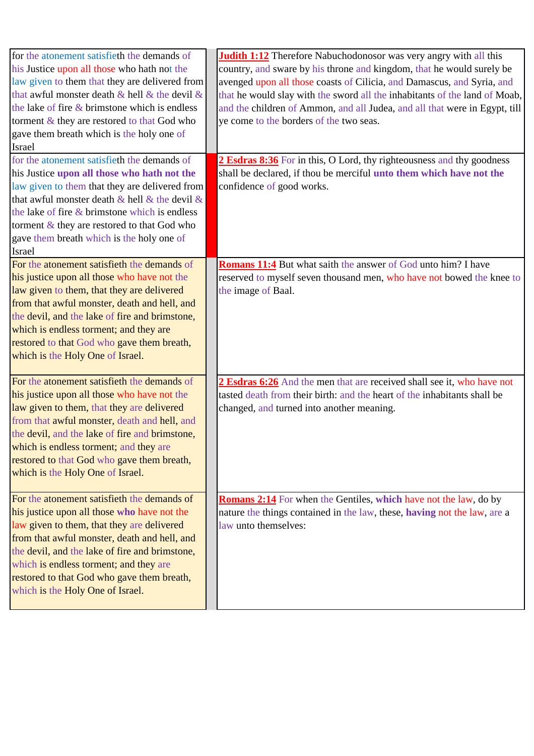| for the atonement satisfieth the demands of<br>his Justice upon all those who hath not the<br>law given to them that they are delivered from<br>that awful monster death $\&$ hell $\&$ the devil $\&$<br>the lake of fire $\&$ brimstone which is endless<br>torment & they are restored to that God who<br>gave them breath which is the holy one of<br><b>Israel</b> | <b>Judith 1:12</b> Therefore Nabuchodonosor was very angry with all this<br>country, and sware by his throne and kingdom, that he would surely be<br>avenged upon all those coasts of Cilicia, and Damascus, and Syria, and<br>that he would slay with the sword all the inhabitants of the land of Moab,<br>and the children of Ammon, and all Judea, and all that were in Egypt, till<br>ye come to the borders of the two seas. |
|-------------------------------------------------------------------------------------------------------------------------------------------------------------------------------------------------------------------------------------------------------------------------------------------------------------------------------------------------------------------------|------------------------------------------------------------------------------------------------------------------------------------------------------------------------------------------------------------------------------------------------------------------------------------------------------------------------------------------------------------------------------------------------------------------------------------|
| for the atonement satisfieth the demands of<br>his Justice upon all those who hath not the<br>law given to them that they are delivered from<br>that awful monster death $\&$ hell $\&$ the devil $\&$<br>the lake of fire & brimstone which is endless<br>torment & they are restored to that God who<br>gave them breath which is the holy one of<br><b>Israel</b>    | 2 Esdras 8:36 For in this, O Lord, thy righteousness and thy goodness<br>shall be declared, if thou be merciful unto them which have not the<br>confidence of good works.                                                                                                                                                                                                                                                          |
| For the atonement satisfieth the demands of<br>his justice upon all those who have not the<br>law given to them, that they are delivered<br>from that awful monster, death and hell, and<br>the devil, and the lake of fire and brimstone,<br>which is endless torment; and they are<br>restored to that God who gave them breath,<br>which is the Holy One of Israel.  | <b>Romans 11:4</b> But what saith the answer of God unto him? I have<br>reserved to myself seven thousand men, who have not bowed the knee to<br>the image of Baal.                                                                                                                                                                                                                                                                |
| For the atonement satisfieth the demands of<br>his justice upon all those who have not the<br>law given to them, that they are delivered<br>from that awful monster, death and hell, and<br>the devil, and the lake of fire and brimstone,<br>which is endless torment; and they are<br>restored to that God who gave them breath,<br>which is the Holy One of Israel.  | 2 Esdras 6:26 And the men that are received shall see it, who have not<br>tasted death from their birth: and the heart of the inhabitants shall be<br>changed, and turned into another meaning.                                                                                                                                                                                                                                    |
| For the atonement satisfieth the demands of<br>his justice upon all those who have not the<br>law given to them, that they are delivered<br>from that awful monster, death and hell, and<br>the devil, and the lake of fire and brimstone,<br>which is endless torment; and they are<br>restored to that God who gave them breath,<br>which is the Holy One of Israel.  | <b>Romans 2:14</b> For when the Gentiles, which have not the law, do by<br>nature the things contained in the law, these, having not the law, are a<br>law unto themselves:                                                                                                                                                                                                                                                        |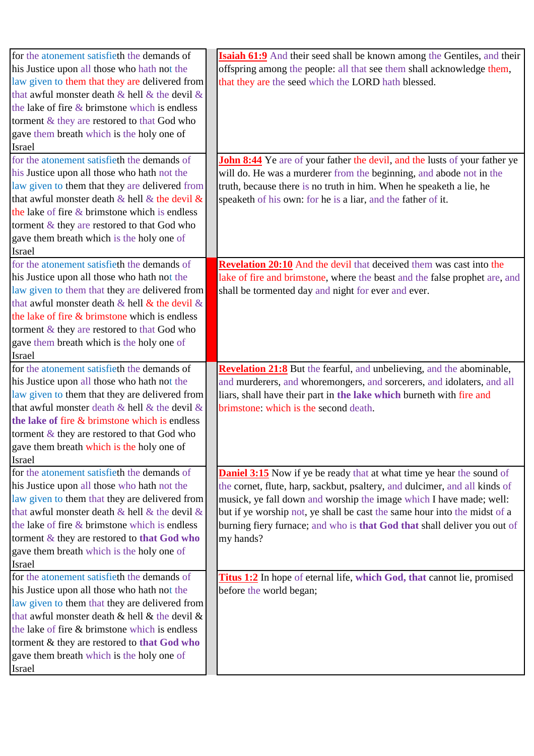| for the atonement satisfieth the demands of            | <b>Isaiah 61:9</b> And their seed shall be known among the Gentiles, and their    |
|--------------------------------------------------------|-----------------------------------------------------------------------------------|
| his Justice upon all those who hath not the            | offspring among the people: all that see them shall acknowledge them,             |
| law given to them that they are delivered from         | that they are the seed which the LORD hath blessed.                               |
| that awful monster death $\&$ hell $\&$ the devil $\&$ |                                                                                   |
| the lake of fire $&$ brimstone which is endless        |                                                                                   |
| torment & they are restored to that God who            |                                                                                   |
| gave them breath which is the holy one of              |                                                                                   |
| <b>Israel</b>                                          |                                                                                   |
| for the atonement satisfieth the demands of            | <b>John 8:44</b> Ye are of your father the devil, and the lusts of your father ye |
| his Justice upon all those who hath not the            | will do. He was a murderer from the beginning, and abode not in the               |
| law given to them that they are delivered from         | truth, because there is no truth in him. When he speaketh a lie, he               |
| that awful monster death $\&$ hell $\&$ the devil $\&$ | speaketh of his own: for he is a liar, and the father of it.                      |
| the lake of fire $&$ brimstone which is endless        |                                                                                   |
| torment & they are restored to that God who            |                                                                                   |
| gave them breath which is the holy one of              |                                                                                   |
| Israel                                                 |                                                                                   |
| for the atonement satisfieth the demands of            | <b>Revelation 20:10</b> And the devil that deceived them was cast into the        |
| his Justice upon all those who hath not the            | lake of fire and brimstone, where the beast and the false prophet are, and        |
| law given to them that they are delivered from         | shall be tormented day and night for ever and ever.                               |
| that awful monster death $\&$ hell $\&$ the devil $\&$ |                                                                                   |
| the lake of fire & brimstone which is endless          |                                                                                   |
| torment & they are restored to that God who            |                                                                                   |
| gave them breath which is the holy one of              |                                                                                   |
| <b>Israel</b>                                          |                                                                                   |
| for the atonement satisfieth the demands of            | <b>Revelation 21:8</b> But the fearful, and unbelieving, and the abominable,      |
| his Justice upon all those who hath not the            | and murderers, and whoremongers, and sorcerers, and idolaters, and all            |
|                                                        |                                                                                   |
|                                                        |                                                                                   |
| law given to them that they are delivered from         | liars, shall have their part in the lake which burneth with fire and              |
| that awful monster death $&$ hell $&$ the devil $&$    | brimstone: which is the second death.                                             |
| the lake of fire & brimstone which is endless          |                                                                                   |
| torment $\&$ they are restored to that God who         |                                                                                   |
| gave them breath which is the holy one of              |                                                                                   |
| Israel                                                 |                                                                                   |
| for the atonement satisfieth the demands of            | <b>Daniel 3:15</b> Now if ye be ready that at what time ye hear the sound of      |
| his Justice upon all those who hath not the            | the cornet, flute, harp, sackbut, psaltery, and dulcimer, and all kinds of        |
| law given to them that they are delivered from         | musick, ye fall down and worship the image which I have made; well:               |
| that awful monster death $\&$ hell $\&$ the devil $\&$ | but if ye worship not, ye shall be cast the same hour into the midst of a         |
| the lake of fire $\&$ brimstone which is endless       | burning fiery furnace; and who is that God that shall deliver you out of          |
| torment & they are restored to that God who            | my hands?                                                                         |
| gave them breath which is the holy one of              |                                                                                   |
| Israel                                                 |                                                                                   |
| for the atonement satisfieth the demands of            | Titus 1:2 In hope of eternal life, which God, that cannot lie, promised           |
| his Justice upon all those who hath not the            | before the world began;                                                           |
| law given to them that they are delivered from         |                                                                                   |
| that awful monster death $\&$ hell $\&$ the devil $\&$ |                                                                                   |
| the lake of fire & brimstone which is endless          |                                                                                   |
| torment & they are restored to that God who            |                                                                                   |
| gave them breath which is the holy one of<br>Israel    |                                                                                   |